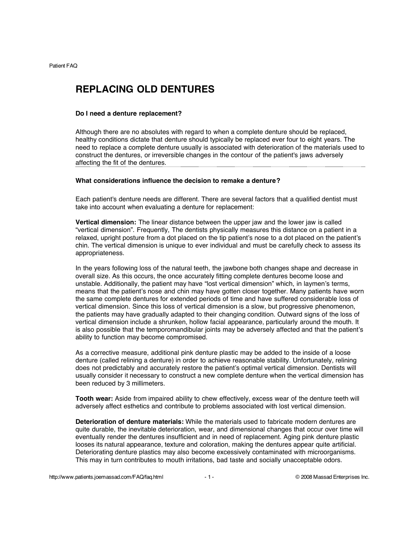# **REPLACING OLD DENTURES**

#### **Do I need a denture replacement?**

Although there are no absolutes with regard to when a complete denture should be replaced, healthy conditions dictate that denture should typically be replaced ever four to eight years. The need to replace a complete denture usually is associated with deterioration of the materials used to construct the dentures, or irreversible changes in the contour of the patient's jaws adversely affecting the fit of the dentures.

# **What considerations influence the decision to remake a denture?**

Each patient's denture needs are different. There are several factors that a qualified dentist must take into account when evaluating a denture for replacement:

**Vertical dimension:** The linear distance between the upper jaw and the lower jaw is called "vertical dimension". Frequently, The dentists physically measures this distance on a patient in a relaxed, upright posture from a dot placed on the tip patient's nose to a dot placed on the patient's chin. The vertical dimension is unique to ever individual and must be carefully check to assess its appropriateness.

In the years following loss of the natural teeth, the jawbone both changes shape and decrease in overall size. As this occurs, the once accurately fitting complete dentures become loose and unstable. Additionally, the patient may have "lost vertical dimension" which, in laymen's terms, means that the patient's nose and chin may have gotten closer together. Many patients have worn the same complete dentures for extended periods of time and have suffered considerable loss of vertical dimension. Since this loss of vertical dimension is a slow, but progressive phenomenon, the patients may have gradually adapted to their changing condition. Outward signs of the loss of vertical dimension include a shrunken, hollow facial appearance, particularly around the mouth. It is also possible that the temporomandibular joints may be adversely affected and that the patient's ability to function may become compromised.

As a corrective measure, additional pink denture plastic may be added to the inside of a loose denture (called relining a denture) in order to achieve reasonable stability. Unfortunately, relining does not predictably and accurately restore the patient's optimal vertical dimension. Dentists will usually consider it necessary to construct a new complete denture when the vertical dimension has been reduced by 3 millimeters.

**Tooth wear:** Aside from impaired ability to chew effectively, excess wear of the denture teeth will adversely affect esthetics and contribute to problems associated with lost vertical dimension.

**Deterioration of denture materials:** While the materials used to fabricate modern dentures are quite durable, the inevitable deterioration, wear, and dimensional changes that occur over time will eventually render the dentures insufficient and in need of replacement. Aging pink denture plastic looses its natural appearance, texture and coloration, making the dentures appear quite artificial. Deteriorating denture plastics may also become excessively contaminated with microorganisms. This may in turn contributes to mouth irritations, bad taste and socially unacceptable odors.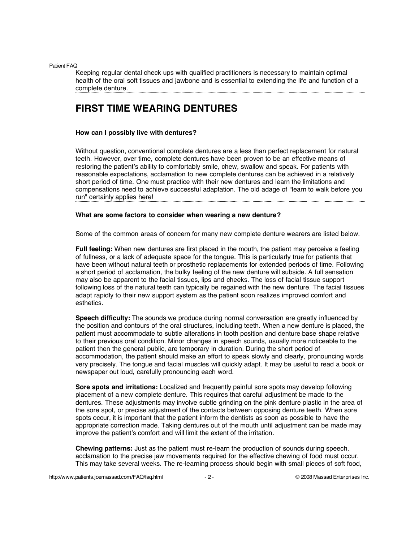Keeping regular dental check ups with qualified practitioners is necessary to maintain optimal health of the oral soft tissues and jawbone and is essential to extending the life and function of a complete denture.

# **FIRST TIME WEARING DENTURES**

### **How can I possibly live with dentures?**

Without question, conventional complete dentures are a less than perfect replacement for natural teeth. However, over time, complete dentures have been proven to be an effective means of restoring the patient's ability to comfortably smile, chew, swallow and speak. For patients with reasonable expectations, acclamation to new complete dentures can be achieved in a relatively short period of time. One must practice with their new dentures and learn the limitations and compensations need to achieve successful adaptation. The old adage of "learn to walk before you run" certainly applies here!

# **What are some factors to consider when wearing a new denture?**

Some of the common areas of concern for many new complete denture wearers are listed below.

**Full feeling:** When new dentures are first placed in the mouth, the patient may perceive a feeling of fullness, or a lack of adequate space for the tongue. This is particularly true for patients that have been without natural teeth or prosthetic replacements for extended periods of time. Following a short period of acclamation, the bulky feeling of the new denture will subside. A full sensation may also be apparent to the facial tissues, lips and cheeks. The loss of facial tissue support following loss of the natural teeth can typically be regained with the new denture. The facial tissues adapt rapidly to their new support system as the patient soon realizes improved comfort and esthetics.

**Speech difficulty:** The sounds we produce during normal conversation are greatly influenced by the position and contours of the oral structures, including teeth. When a new denture is placed, the patient must accommodate to subtle alterations in tooth position and denture base shape relative to their previous oral condition. Minor changes in speech sounds, usually more noticeable to the patient then the general public, are temporary in duration. During the short period of accommodation, the patient should make an effort to speak slowly and clearly, pronouncing words very precisely. The tongue and facial muscles will quickly adapt. It may be useful to read a book or newspaper out loud, carefully pronouncing each word.

**Sore spots and irritations:** Localized and frequently painful sore spots may develop following placement of a new complete denture. This requires that careful adjustment be made to the dentures. These adjustments may involve subtle grinding on the pink denture plastic in the area of the sore spot, or precise adjustment of the contacts between opposing denture teeth. When sore spots occur, it is important that the patient inform the dentists as soon as possible to have the appropriate correction made. Taking dentures out of the mouth until adjustment can be made may improve the patient's comfort and will limit the extent of the irritation.

**Chewing patterns:** Just as the patient must re-learn the production of sounds during speech, acclamation to the precise jaw movements required for the effective chewing of food must occur. This may take several weeks. The re-learning process should begin with small pieces of soft food,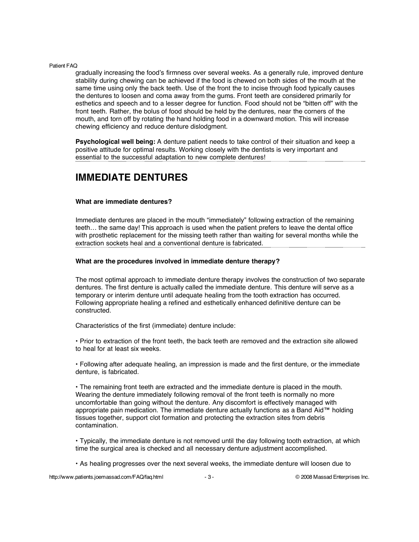gradually increasing the food's firmness over several weeks. As a generally rule, improved denture stability during chewing can be achieved if the food is chewed on both sides of the mouth at the same time using only the back teeth. Use of the front the to incise through food typically causes the dentures to loosen and coma away from the gums. Front teeth are considered primarily for esthetics and speech and to a lesser degree for function. Food should not be "bitten off" with the front teeth. Rather, the bolus of food should be held by the dentures, near the corners of the mouth, and torn off by rotating the hand holding food in a downward motion. This will increase chewing efficiency and reduce denture dislodgment.

**Psychological well being:** A denture patient needs to take control of their situation and keep a positive attitude for optimal results. Working closely with the dentists is very important and essential to the successful adaptation to new complete dentures!

# **IMMEDIATE DENTURES**

# **What are immediate dentures?**

Immediate dentures are placed in the mouth "immediately" following extraction of the remaining teeth… the same day! This approach is used when the patient prefers to leave the dental office with prosthetic replacement for the missing teeth rather than waiting for several months while the extraction sockets heal and a conventional denture is fabricated.

# **What are the procedures involved in immediate denture therapy?**

The most optimal approach to immediate denture therapy involves the construction of two separate dentures. The first denture is actually called the immediate denture. This denture will serve as a temporary or interim denture until adequate healing from the tooth extraction has occurred. Following appropriate healing a refined and esthetically enhanced definitive denture can be constructed.

Characteristics of the first (immediate) denture include:

• Prior to extraction of the front teeth, the back teeth are removed and the extraction site allowed to heal for at least six weeks.

• Following after adequate healing, an impression is made and the first denture, or the immediate denture, is fabricated.

• The remaining front teeth are extracted and the immediate denture is placed in the mouth. Wearing the denture immediately following removal of the front teeth is normally no more uncomfortable than going without the denture. Any discomfort is effectively managed with appropriate pain medication. The immediate denture actually functions as a Band Aid™ holding tissues together, support clot formation and protecting the extraction sites from debris contamination.

• Typically, the immediate denture is not removed until the day following tooth extraction, at which time the surgical area is checked and all necessary denture adjustment accomplished.

• As healing progresses over the next several weeks, the immediate denture will loosen due to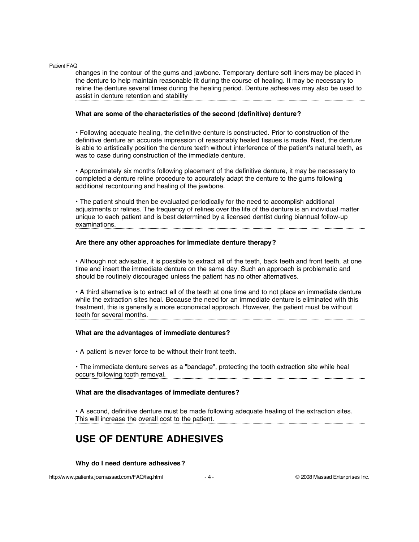changes in the contour of the gums and jawbone. Temporary denture soft liners may be placed in the denture to help maintain reasonable fit during the course of healing. It may be necessary to reline the denture several times during the healing period. Denture adhesives may also be used to assist in denture retention and stability

#### **What are some of the characteristics of the second (definitive) denture?**

• Following adequate healing, the definitive denture is constructed. Prior to construction of the definitive denture an accurate impression of reasonably healed tissues is made. Next, the denture is able to artistically position the denture teeth without interference of the patient's natural teeth, as was to case during construction of the immediate denture.

• Approximately six months following placement of the definitive denture, it may be necessary to completed a denture reline procedure to accurately adapt the denture to the gums following additional recontouring and healing of the jawbone.

• The patient should then be evaluated periodically for the need to accomplish additional adjustments or relines. The frequency of relines over the life of the denture is an individual matter unique to each patient and is best determined by a licensed dentist during biannual follow-up examinations.

# **Are there any other approaches for immediate denture therapy?**

• Although not advisable, it is possible to extract all of the teeth, back teeth and front teeth, at one time and insert the immediate denture on the same day. Such an approach is problematic and should be routinely discouraged unless the patient has no other alternatives.

• A third alternative is to extract all of the teeth at one time and to not place an immediate denture while the extraction sites heal. Because the need for an immediate denture is eliminated with this treatment, this is generally a more economical approach. However, the patient must be without teeth for several months.

# **What are the advantages of immediate dentures?**

• A patient is never force to be without their front teeth.

• The immediate denture serves as a "bandage", protecting the tooth extraction site while heal occurs following tooth removal.

# **What are the disadvantages of immediate dentures?**

• A second, definitive denture must be made following adequate healing of the extraction sites. This will increase the overall cost to the patient.

# **USE OF DENTURE ADHESIVES**

# **Why do I need denture adhesives?**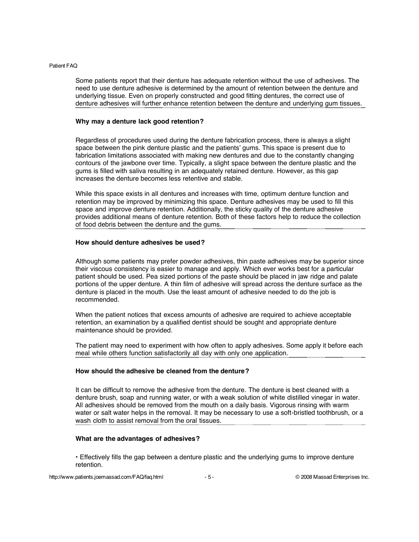Some patients report that their denture has adequate retention without the use of adhesives. The need to use denture adhesive is determined by the amount of retention between the denture and underlying tissue. Even on properly constructed and good fitting dentures, the correct use of denture adhesives will further enhance retention between the denture and underlying gum tissues.

# **Why may a denture lack good retention?**

Regardless of procedures used during the denture fabrication process, there is always a slight space between the pink denture plastic and the patients' gums. This space is present due to fabrication limitations associated with making new dentures and due to the constantly changing contours of the jawbone over time. Typically, a slight space between the denture plastic and the gums is filled with saliva resulting in an adequately retained denture. However, as this gap increases the denture becomes less retentive and stable.

While this space exists in all dentures and increases with time, optimum denture function and retention may be improved by minimizing this space. Denture adhesives may be used to fill this space and improve denture retention. Additionally, the sticky quality of the denture adhesive provides additional means of denture retention. Both of these factors help to reduce the collection of food debris between the denture and the gums.

# **How should denture adhesives be used?**

Although some patients may prefer powder adhesives, thin paste adhesives may be superior since their viscous consistency is easier to manage and apply. Which ever works best for a particular patient should be used. Pea sized portions of the paste should be placed in jaw ridge and palate portions of the upper denture. A thin film of adhesive will spread across the denture surface as the denture is placed in the mouth. Use the least amount of adhesive needed to do the job is recommended.

When the patient notices that excess amounts of adhesive are required to achieve acceptable retention, an examination by a qualified dentist should be sought and appropriate denture maintenance should be provided.

The patient may need to experiment with how often to apply adhesives. Some apply it before each meal while others function satisfactorily all day with only one application.

# **How should the adhesive be cleaned from the denture?**

It can be difficult to remove the adhesive from the denture. The denture is best cleaned with a denture brush, soap and running water, or with a weak solution of white distilled vinegar in water. All adhesives should be removed from the mouth on a daily basis. Vigorous rinsing with warm water or salt water helps in the removal. It may be necessary to use a soft-bristled toothbrush, or a wash cloth to assist removal from the oral tissues.

# **What are the advantages of adhesives?**

• Effectively fills the gap between a denture plastic and the underlying gums to improve denture retention.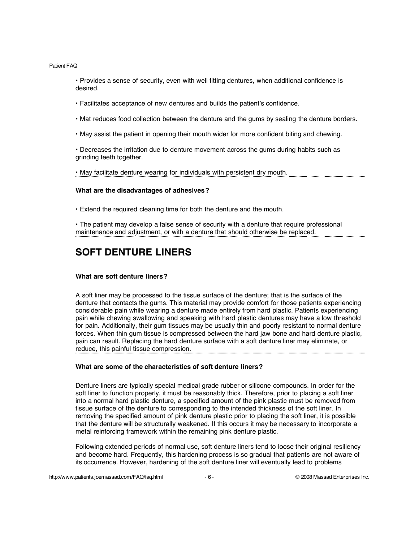• Provides a sense of security, even with well fitting dentures, when additional confidence is desired.

- Facilitates acceptance of new dentures and builds the patient's confidence.
- Mat reduces food collection between the denture and the gums by sealing the denture borders.
- May assist the patient in opening their mouth wider for more confident biting and chewing.

• Decreases the irritation due to denture movement across the gums during habits such as grinding teeth together.

• May facilitate denture wearing for individuals with persistent dry mouth.

#### **What are the disadvantages of adhesives?**

• Extend the required cleaning time for both the denture and the mouth.

• The patient may develop a false sense of security with a denture that require professional maintenance and adjustment, or with a denture that should otherwise be replaced.

# **SOFT DENTURE LINERS**

#### **What are soft denture liners?**

A soft liner may be processed to the tissue surface of the denture; that is the surface of the denture that contacts the gums. This material may provide comfort for those patients experiencing considerable pain while wearing a denture made entirely from hard plastic. Patients experiencing pain while chewing swallowing and speaking with hard plastic dentures may have a low threshold for pain. Additionally, their gum tissues may be usually thin and poorly resistant to normal denture forces. When thin gum tissue is compressed between the hard jaw bone and hard denture plastic, pain can result. Replacing the hard denture surface with a soft denture liner may eliminate, or reduce, this painful tissue compression.

#### **What are some of the characteristics of soft denture liners?**

Denture liners are typically special medical grade rubber or silicone compounds. In order for the soft liner to function properly, it must be reasonably thick. Therefore, prior to placing a soft liner into a normal hard plastic denture, a specified amount of the pink plastic must be removed from tissue surface of the denture to corresponding to the intended thickness of the soft liner. In removing the specified amount of pink denture plastic prior to placing the soft liner, it is possible that the denture will be structurally weakened. If this occurs it may be necessary to incorporate a metal reinforcing framework within the remaining pink denture plastic.

Following extended periods of normal use, soft denture liners tend to loose their original resiliency and become hard. Frequently, this hardening process is so gradual that patients are not aware of its occurrence. However, hardening of the soft denture liner will eventually lead to problems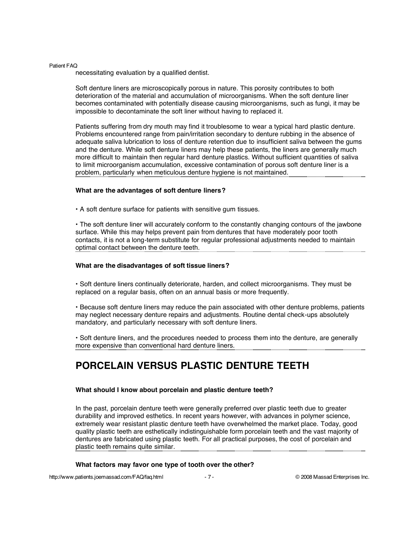necessitating evaluation by a qualified dentist.

Soft denture liners are microscopically porous in nature. This porosity contributes to both deterioration of the material and accumulation of microorganisms. When the soft denture liner becomes contaminated with potentially disease causing microorganisms, such as fungi, it may be impossible to decontaminate the soft liner without having to replaced it.

Patients suffering from dry mouth may find it troublesome to wear a typical hard plastic denture. Problems encountered range from pain/irritation secondary to denture rubbing in the absence of adequate saliva lubrication to loss of denture retention due to insufficient saliva between the gums and the denture. While soft denture liners may help these patients, the liners are generally much more difficult to maintain then regular hard denture plastics. Without sufficient quantities of saliva to limit microorganism accumulation, excessive contamination of porous soft denture liner is a problem, particularly when meticulous denture hygiene is not maintained.

#### **What are the advantages of soft denture liners?**

• A soft denture surface for patients with sensitive gum tissues.

• The soft denture liner will accurately conform to the constantly changing contours of the jawbone surface. While this may helps prevent pain from dentures that have moderately poor tooth contacts, it is not a long-term substitute for regular professional adjustments needed to maintain optimal contact between the denture teeth.

#### **What are the disadvantages of soft tissue liners?**

• Soft denture liners continually deteriorate, harden, and collect microorganisms. They must be replaced on a regular basis, often on an annual basis or more frequently.

• Because soft denture liners may reduce the pain associated with other denture problems, patients may neglect necessary denture repairs and adjustments. Routine dental check-ups absolutely mandatory, and particularly necessary with soft denture liners.

• Soft denture liners, and the procedures needed to process them into the denture, are generally more expensive than conventional hard denture liners.

# **PORCELAIN VERSUS PLASTIC DENTURE TEETH**

#### **What should I know about porcelain and plastic denture teeth?**

In the past, porcelain denture teeth were generally preferred over plastic teeth due to greater durability and improved esthetics. In recent years however, with advances in polymer science, extremely wear resistant plastic denture teeth have overwhelmed the market place. Today, good quality plastic teeth are esthetically indistinguishable form porcelain teeth and the vast majority of dentures are fabricated using plastic teeth. For all practical purposes, the cost of porcelain and plastic teeth remains quite similar.

#### **What factors may favor one type of tooth over the other?**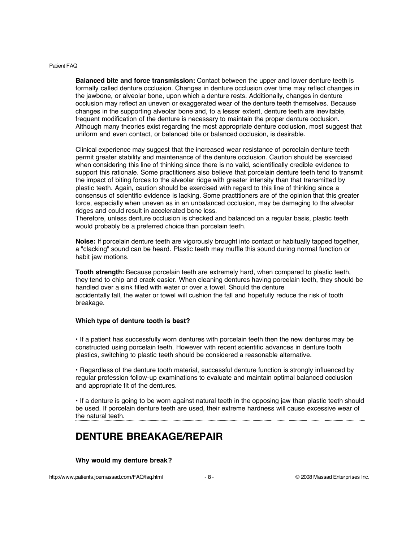**Balanced bite and force transmission:** Contact between the upper and lower denture teeth is formally called denture occlusion. Changes in denture occlusion over time may reflect changes in the jawbone, or alveolar bone, upon which a denture rests. Additionally, changes in denture occlusion may reflect an uneven or exaggerated wear of the denture teeth themselves. Because changes in the supporting alveolar bone and, to a lesser extent, denture teeth are inevitable, frequent modification of the denture is necessary to maintain the proper denture occlusion. Although many theories exist regarding the most appropriate denture occlusion, most suggest that uniform and even contact, or balanced bite or balanced occlusion, is desirable.

Clinical experience may suggest that the increased wear resistance of porcelain denture teeth permit greater stability and maintenance of the denture occlusion. Caution should be exercised when considering this line of thinking since there is no valid, scientifically credible evidence to support this rationale. Some practitioners also believe that porcelain denture teeth tend to transmit the impact of biting forces to the alveolar ridge with greater intensity than that transmitted by plastic teeth. Again, caution should be exercised with regard to this line of thinking since a consensus of scientific evidence is lacking. Some practitioners are of the opinion that this greater force, especially when uneven as in an unbalanced occlusion, may be damaging to the alveolar ridges and could result in accelerated bone loss.

Therefore, unless denture occlusion is checked and balanced on a regular basis, plastic teeth would probably be a preferred choice than porcelain teeth.

**Noise:** If porcelain denture teeth are vigorously brought into contact or habitually tapped together, a "clacking" sound can be heard. Plastic teeth may muffle this sound during normal function or habit jaw motions.

**Tooth strength:** Because porcelain teeth are extremely hard, when compared to plastic teeth, they tend to chip and crack easier. When cleaning dentures having porcelain teeth, they should be handled over a sink filled with water or over a towel. Should the denture accidentally fall, the water or towel will cushion the fall and hopefully reduce the risk of tooth breakage.

### **Which type of denture tooth is best?**

• If a patient has successfully worn dentures with porcelain teeth then the new dentures may be constructed using porcelain teeth. However with recent scientific advances in denture tooth plastics, switching to plastic teeth should be considered a reasonable alternative.

• Regardless of the denture tooth material, successful denture function is strongly influenced by regular profession follow-up examinations to evaluate and maintain optimal balanced occlusion and appropriate fit of the dentures.

• If a denture is going to be worn against natural teeth in the opposing jaw than plastic teeth should be used. If porcelain denture teeth are used, their extreme hardness will cause excessive wear of the natural teeth.

# **DENTURE BREAKAGE/REPAIR**

#### **Why would my denture break?**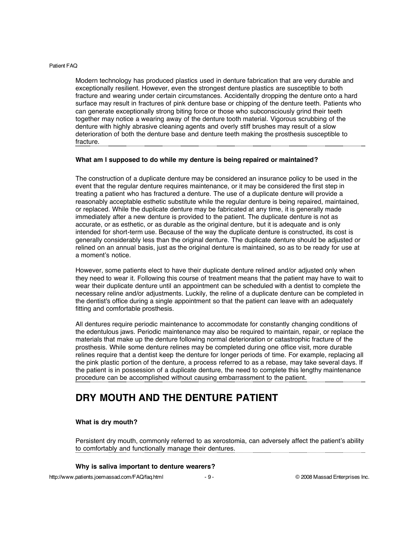Modern technology has produced plastics used in denture fabrication that are very durable and exceptionally resilient. However, even the strongest denture plastics are susceptible to both fracture and wearing under certain circumstances. Accidentally dropping the denture onto a hard surface may result in fractures of pink denture base or chipping of the denture teeth. Patients who can generate exceptionally strong biting force or those who subconsciously grind their teeth together may notice a wearing away of the denture tooth material. Vigorous scrubbing of the denture with highly abrasive cleaning agents and overly stiff brushes may result of a slow deterioration of both the denture base and denture teeth making the prosthesis susceptible to fracture.

# **What am I supposed to do while my denture is being repaired or maintained?**

The construction of a duplicate denture may be considered an insurance policy to be used in the event that the regular denture requires maintenance, or it may be considered the first step in treating a patient who has fractured a denture. The use of a duplicate denture will provide a reasonably acceptable esthetic substitute while the regular denture is being repaired, maintained, or replaced. While the duplicate denture may be fabricated at any time, it is generally made immediately after a new denture is provided to the patient. The duplicate denture is not as accurate, or as esthetic, or as durable as the original denture, but it is adequate and is only intended for short-term use. Because of the way the duplicate denture is constructed, its cost is generally considerably less than the original denture. The duplicate denture should be adjusted or relined on an annual basis, just as the original denture is maintained, so as to be ready for use at a moment's notice.

However, some patients elect to have their duplicate denture relined and/or adjusted only when they need to wear it. Following this course of treatment means that the patient may have to wait to wear their duplicate denture until an appointment can be scheduled with a dentist to complete the necessary reline and/or adjustments. Luckily, the reline of a duplicate denture can be completed in the dentist's office during a single appointment so that the patient can leave with an adequately fitting and comfortable prosthesis.

All dentures require periodic maintenance to accommodate for constantly changing conditions of the edentulous jaws. Periodic maintenance may also be required to maintain, repair, or replace the materials that make up the denture following normal deterioration or catastrophic fracture of the prosthesis. While some denture relines may be completed during one office visit, more durable relines require that a dentist keep the denture for longer periods of time. For example, replacing all the pink plastic portion of the denture, a process referred to as a rebase, may take several days. If the patient is in possession of a duplicate denture, the need to complete this lengthy maintenance procedure can be accomplished without causing embarrassment to the patient.

# **DRY MOUTH AND THE DENTURE PATIENT**

# **What is dry mouth?**

Persistent dry mouth, commonly referred to as xerostomia, can adversely affect the patient's ability to comfortably and functionally manage their dentures.

# **Why is saliva important to denture wearers?**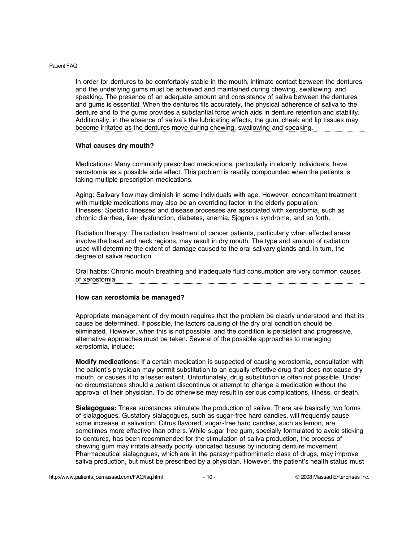In order for dentures to be comfortably stable in the mouth, intimate contact between the dentures and the underlying gums must be achieved and maintained during chewing, swallowing, and speaking. The presence of an adequate amount and consistency of saliva between the dentures and gums is essential. When the dentures fits accurately, the physical adherence of saliva to the denture and to the gums provides a substantial force which aids in denture retention and stability. Additionally, in the absence of saliva's the lubricating effects, the gum, cheek and lip tissues may become irritated as the dentures move during chewing, swallowing and speaking.

#### **What causes dry mouth?**

Medications: Many commonly prescribed medications, particularly in elderly individuals, have xerostomia as a possible side effect. This problem is readily compounded when the patients is taking multiple prescription medications.

Aging: Salivary flow may diminish in some individuals with age. However, concomitant treatment with multiple medications may also be an overriding factor in the elderly population. Illnesses: Specific illnesses and disease processes are associated with xerostomia, such as chronic diarrhea, liver dysfunction, diabetes, anemia, Sjogren's syndrome, and so forth.

Radiation therapy: The radiation treatment of cancer patients, particularly when affected areas involve the head and neck regions, may result in dry mouth. The type and amount of radiation used will determine the extent of damage caused to the oral salivary glands and, in turn, the degree of saliva reduction.

Oral habits: Chronic mouth breathing and inadequate fluid consumption are very common causes of xerostomia.

#### **How can xerostomia be managed?**

Appropriate management of dry mouth requires that the problem be clearly understood and that its cause be determined. If possible, the factors causing of the dry oral condition should be eliminated. However, when this is not possible, and the condition is persistent and progressive, alternative approaches must be taken. Several of the possible approaches to managing xerostomia, include:

**Modify medications:** If a certain medication is suspected of causing xerostomia, consultation with the patient's physician may permit substitution to an equally effective drug that does not cause dry mouth, or causes it to a lesser extent. Unfortunately, drug substitution is often not possible. Under no circumstances should a patient discontinue or attempt to change a medication without the approval of their physician. To do otherwise may result in serious complications, illness, or death.

**Sialagogues:** These substances stimulate the production of saliva. There are basically two forms of sialagogues. Gustatory sialagogues, such as sugar-free hard candies, will frequently cause some increase in salivation. Citrus flavored, sugar-free hard candies, such as lemon, are sometimes more effective than others. While sugar free gum, specially formulated to avoid sticking to dentures, has been recommended for the stimulation of saliva production, the process of chewing gum may irritate already poorly lubricated tissues by inducing denture movement. Pharmaceutical sialagogues, which are in the parasympathomimetic class of drugs, may improve saliva production, but must be prescribed by a physician. However, the patient's health status must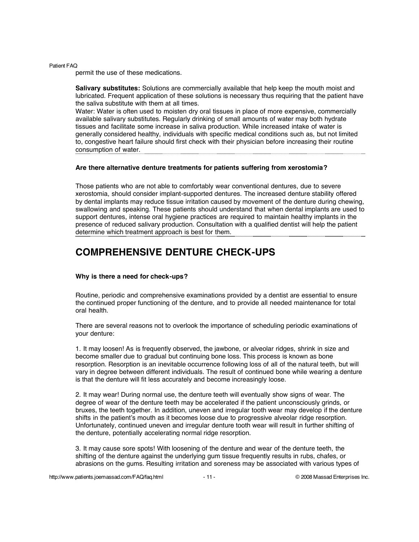permit the use of these medications.

**Salivary substitutes:** Solutions are commercially available that help keep the mouth moist and lubricated. Frequent application of these solutions is necessary thus requiring that the patient have the saliva substitute with them at all times.

Water: Water is often used to moisten dry oral tissues in place of more expensive, commercially available salivary substitutes. Regularly drinking of small amounts of water may both hydrate tissues and facilitate some increase in saliva production. While increased intake of water is generally considered healthy, individuals with specific medical conditions such as, but not limited to, congestive heart failure should first check with their physician before increasing their routine consumption of water.

#### **Are there alternative denture treatments for patients suffering from xerostomia?**

Those patients who are not able to comfortably wear conventional dentures, due to severe xerostomia, should consider implant-supported dentures. The increased denture stability offered by dental implants may reduce tissue irritation caused by movement of the denture during chewing, swallowing and speaking. These patients should understand that when dental implants are used to support dentures, intense oral hygiene practices are required to maintain healthy implants in the presence of reduced salivary production. Consultation with a qualified dentist will help the patient determine which treatment approach is best for them.

# **COMPREHENSIVE DENTURE CHECK-UPS**

# **Why is there a need for check-ups?**

Routine, periodic and comprehensive examinations provided by a dentist are essential to ensure the continued proper functioning of the denture, and to provide all needed maintenance for total oral health.

There are several reasons not to overlook the importance of scheduling periodic examinations of your denture:

1. It may loosen! As is frequently observed, the jawbone, or alveolar ridges, shrink in size and become smaller due to gradual but continuing bone loss. This process is known as bone resorption. Resorption is an inevitable occurrence following loss of all of the natural teeth, but will vary in degree between different individuals. The result of continued bone while wearing a denture is that the denture will fit less accurately and become increasingly loose.

2. It may wear! During normal use, the denture teeth will eventually show signs of wear. The degree of wear of the denture teeth may be accelerated if the patient unconsciously grinds, or bruxes, the teeth together. In addition, uneven and irregular tooth wear may develop if the denture shifts in the patient's mouth as it becomes loose due to progressive alveolar ridge resorption. Unfortunately, continued uneven and irregular denture tooth wear will result in further shifting of the denture, potentially accelerating normal ridge resorption.

3. It may cause sore spots! With loosening of the denture and wear of the denture teeth, the shifting of the denture against the underlying gum tissue frequently results in rubs, chafes, or abrasions on the gums. Resulting irritation and soreness may be associated with various types of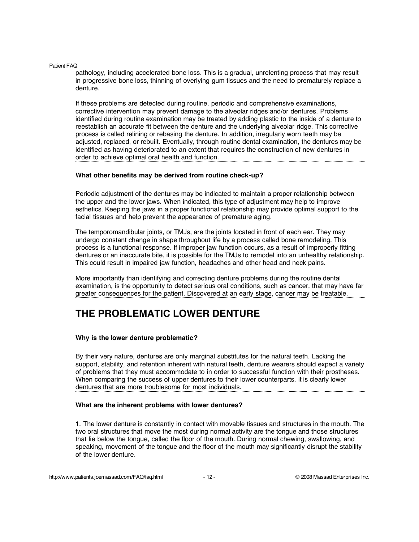pathology, including accelerated bone loss. This is a gradual, unrelenting process that may result in progressive bone loss, thinning of overlying gum tissues and the need to prematurely replace a denture.

If these problems are detected during routine, periodic and comprehensive examinations, corrective intervention may prevent damage to the alveolar ridges and/or dentures. Problems identified during routine examination may be treated by adding plastic to the inside of a denture to reestablish an accurate fit between the denture and the underlying alveolar ridge. This corrective process is called relining or rebasing the denture. In addition, irregularly worn teeth may be adjusted, replaced, or rebuilt. Eventually, through routine dental examination, the dentures may be identified as having deteriorated to an extent that requires the construction of new dentures in order to achieve optimal oral health and function.

#### **What other benefits may be derived from routine check-up?**

Periodic adjustment of the dentures may be indicated to maintain a proper relationship between the upper and the lower jaws. When indicated, this type of adjustment may help to improve esthetics. Keeping the jaws in a proper functional relationship may provide optimal support to the facial tissues and help prevent the appearance of premature aging.

The temporomandibular joints, or TMJs, are the joints located in front of each ear. They may undergo constant change in shape throughout life by a process called bone remodeling. This process is a functional response. If improper jaw function occurs, as a result of improperly fitting dentures or an inaccurate bite, it is possible for the TMJs to remodel into an unhealthy relationship. This could result in impaired jaw function, headaches and other head and neck pains.

More importantly than identifying and correcting denture problems during the routine dental examination, is the opportunity to detect serious oral conditions, such as cancer, that may have far greater consequences for the patient. Discovered at an early stage, cancer may be treatable.

# **THE PROBLEMATIC LOWER DENTURE**

# **Why is the lower denture problematic?**

By their very nature, dentures are only marginal substitutes for the natural teeth. Lacking the support, stability, and retention inherent with natural teeth, denture wearers should expect a variety of problems that they must accommodate to in order to successful function with their prostheses. When comparing the success of upper dentures to their lower counterparts, it is clearly lower dentures that are more troublesome for most individuals.

#### **What are the inherent problems with lower dentures?**

1. The lower denture is constantly in contact with movable tissues and structures in the mouth. The two oral structures that move the most during normal activity are the tongue and those structures that lie below the tongue, called the floor of the mouth. During normal chewing, swallowing, and speaking, movement of the tongue and the floor of the mouth may significantly disrupt the stability of the lower denture.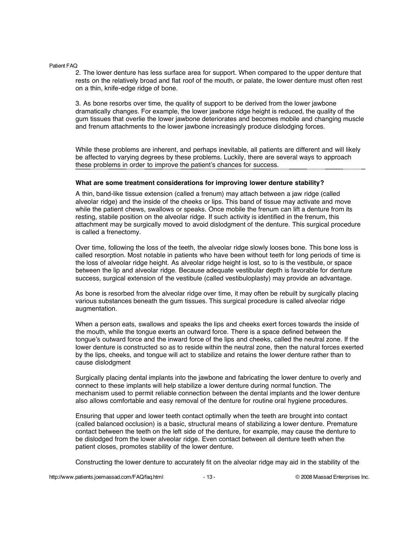2. The lower denture has less surface area for support. When compared to the upper denture that rests on the relatively broad and flat roof of the mouth, or palate, the lower denture must often rest on a thin, knife-edge ridge of bone.

3. As bone resorbs over time, the quality of support to be derived from the lower jawbone dramatically changes. For example, the lower jawbone ridge height is reduced, the quality of the gum tissues that overlie the lower jawbone deteriorates and becomes mobile and changing muscle and frenum attachments to the lower jawbone increasingly produce dislodging forces.

While these problems are inherent, and perhaps inevitable, all patients are different and will likely be affected to varying degrees by these problems. Luckily, there are several ways to approach these problems in order to improve the patient's chances for success.

#### **What are some treatment considerations for improving lower denture stability?**

A thin, band-like tissue extension (called a frenum) may attach between a jaw ridge (called alveolar ridge) and the inside of the cheeks or lips. This band of tissue may activate and move while the patient chews, swallows or speaks. Once mobile the frenum can lift a denture from its resting, stabile position on the alveolar ridge. If such activity is identified in the frenum, this attachment may be surgically moved to avoid dislodgment of the denture. This surgical procedure is called a frenectomy.

Over time, following the loss of the teeth, the alveolar ridge slowly looses bone. This bone loss is called resorption. Most notable in patients who have been without teeth for long periods of time is the loss of alveolar ridge height. As alveolar ridge height is lost, so to is the vestibule, or space between the lip and alveolar ridge. Because adequate vestibular depth is favorable for denture success, surgical extension of the vestibule (called vestibuloplasty) may provide an advantage.

As bone is resorbed from the alveolar ridge over time, it may often be rebuilt by surgically placing various substances beneath the gum tissues. This surgical procedure is called alveolar ridge augmentation.

When a person eats, swallows and speaks the lips and cheeks exert forces towards the inside of the mouth, while the tongue exerts an outward force. There is a space defined between the tongue's outward force and the inward force of the lips and cheeks, called the neutral zone. If the lower denture is constructed so as to reside within the neutral zone, then the natural forces exerted by the lips, cheeks, and tongue will act to stabilize and retains the lower denture rather than to cause dislodgment

Surgically placing dental implants into the jawbone and fabricating the lower denture to overly and connect to these implants will help stabilize a lower denture during normal function. The mechanism used to permit reliable connection between the dental implants and the lower denture also allows comfortable and easy removal of the denture for routine oral hygiene procedures.

Ensuring that upper and lower teeth contact optimally when the teeth are brought into contact (called balanced occlusion) is a basic, structural means of stabilizing a lower denture. Premature contact between the teeth on the left side of the denture, for example, may cause the denture to be dislodged from the lower alveolar ridge. Even contact between all denture teeth when the patient closes, promotes stability of the lower denture.

Constructing the lower denture to accurately fit on the alveolar ridge may aid in the stability of the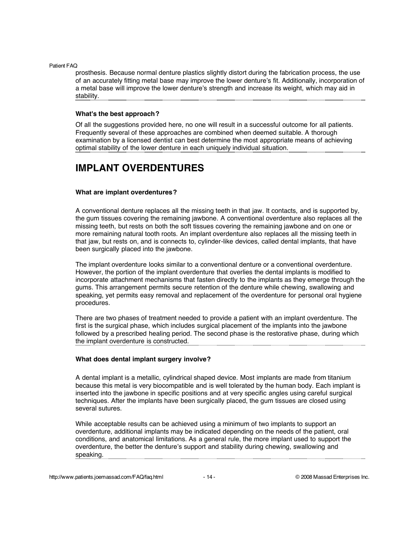prosthesis. Because normal denture plastics slightly distort during the fabrication process, the use of an accurately fitting metal base may improve the lower denture's fit. Additionally, incorporation of a metal base will improve the lower denture's strength and increase its weight, which may aid in stability.

#### **What's the best approach?**

Of all the suggestions provided here, no one will result in a successful outcome for all patients. Frequently several of these approaches are combined when deemed suitable. A thorough examination by a licensed dentist can best determine the most appropriate means of achieving optimal stability of the lower denture in each uniquely individual situation.

# **IMPLANT OVERDENTURES**

# **What are implant overdentures?**

A conventional denture replaces all the missing teeth in that jaw. It contacts, and is supported by, the gum tissues covering the remaining jawbone. A conventional overdenture also replaces all the missing teeth, but rests on both the soft tissues covering the remaining jawbone and on one or more remaining natural tooth roots. An implant overdenture also replaces all the missing teeth in that jaw, but rests on, and is connects to, cylinder-like devices, called dental implants, that have been surgically placed into the jawbone.

The implant overdenture looks similar to a conventional denture or a conventional overdenture. However, the portion of the implant overdenture that overlies the dental implants is modified to incorporate attachment mechanisms that fasten directly to the implants as they emerge through the gums. This arrangement permits secure retention of the denture while chewing, swallowing and speaking, yet permits easy removal and replacement of the overdenture for personal oral hygiene procedures.

There are two phases of treatment needed to provide a patient with an implant overdenture. The first is the surgical phase, which includes surgical placement of the implants into the jawbone followed by a prescribed healing period. The second phase is the restorative phase, during which the implant overdenture is constructed.

# **What does dental implant surgery involve?**

A dental implant is a metallic, cylindrical shaped device. Most implants are made from titanium because this metal is very biocompatible and is well tolerated by the human body. Each implant is inserted into the jawbone in specific positions and at very specific angles using careful surgical techniques. After the implants have been surgically placed, the gum tissues are closed using several sutures.

While acceptable results can be achieved using a minimum of two implants to support an overdenture, additional implants may be indicated depending on the needs of the patient, oral conditions, and anatomical limitations. As a general rule, the more implant used to support the overdenture, the better the denture's support and stability during chewing, swallowing and speaking.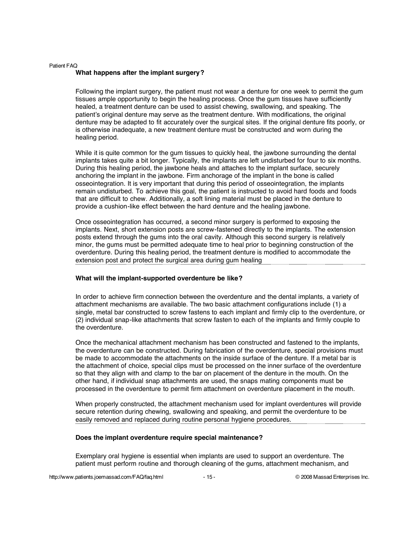#### Patient FAQ **What happens after the implant surgery?**

Following the implant surgery, the patient must not wear a denture for one week to permit the gum tissues ample opportunity to begin the healing process. Once the gum tissues have sufficiently healed, a treatment denture can be used to assist chewing, swallowing, and speaking. The patient's original denture may serve as the treatment denture. With modifications, the original denture may be adapted to fit accurately over the surgical sites. If the original denture fits poorly, or is otherwise inadequate, a new treatment denture must be constructed and worn during the healing period.

While it is quite common for the gum tissues to quickly heal, the jawbone surrounding the dental implants takes quite a bit longer. Typically, the implants are left undisturbed for four to six months. During this healing period, the jawbone heals and attaches to the implant surface, securely anchoring the implant in the jawbone. Firm anchorage of the implant in the bone is called osseointegration. It is very important that during this period of osseointegration, the implants remain undisturbed. To achieve this goal, the patient is instructed to avoid hard foods and foods that are difficult to chew. Additionally, a soft lining material must be placed in the denture to provide a cushion-like effect between the hard denture and the healing jawbone.

Once osseointegration has occurred, a second minor surgery is performed to exposing the implants. Next, short extension posts are screw-fastened directly to the implants. The extension posts extend through the gums into the oral cavity. Although this second surgery is relatively minor, the gums must be permitted adequate time to heal prior to beginning construction of the overdenture. During this healing period, the treatment denture is modified to accommodate the extension post and protect the surgical area during gum healing

# **What will the implant-supported overdenture be like?**

In order to achieve firm connection between the overdenture and the dental implants, a variety of attachment mechanisms are available. The two basic attachment configurations include (1) a single, metal bar constructed to screw fastens to each implant and firmly clip to the overdenture, or (2) individual snap-like attachments that screw fasten to each of the implants and firmly couple to the overdenture.

Once the mechanical attachment mechanism has been constructed and fastened to the implants, the overdenture can be constructed. During fabrication of the overdenture, special provisions must be made to accommodate the attachments on the inside surface of the denture. If a metal bar is the attachment of choice, special clips must be processed on the inner surface of the overdenture so that they align with and clamp to the bar on placement of the denture in the mouth. On the other hand, if individual snap attachments are used, the snaps mating components must be processed in the overdenture to permit firm attachment on overdenture placement in the mouth.

When properly constructed, the attachment mechanism used for implant overdentures will provide secure retention during chewing, swallowing and speaking, and permit the overdenture to be easily removed and replaced during routine personal hygiene procedures.

# **Does the implant overdenture require special maintenance?**

Exemplary oral hygiene is essential when implants are used to support an overdenture. The patient must perform routine and thorough cleaning of the gums, attachment mechanism, and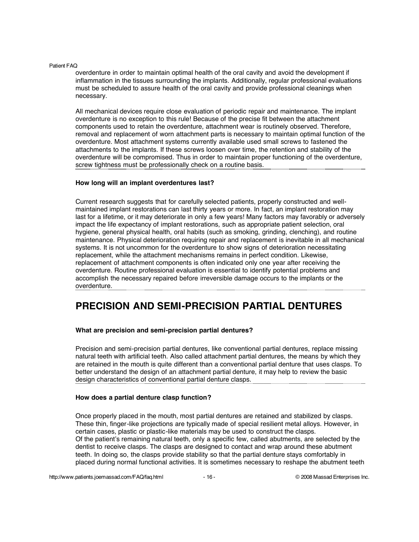overdenture in order to maintain optimal health of the oral cavity and avoid the development if inflammation in the tissues surrounding the implants. Additionally, regular professional evaluations must be scheduled to assure health of the oral cavity and provide professional cleanings when necessary.

All mechanical devices require close evaluation of periodic repair and maintenance. The implant overdenture is no exception to this rule! Because of the precise fit between the attachment components used to retain the overdenture, attachment wear is routinely observed. Therefore, removal and replacement of worn attachment parts is necessary to maintain optimal function of the overdenture. Most attachment systems currently available used small screws to fastened the attachments to the implants. If these screws loosen over time, the retention and stability of the overdenture will be compromised. Thus in order to maintain proper functioning of the overdenture, screw tightness must be professionally check on a routine basis.

#### **How long will an implant overdentures last?**

Current research suggests that for carefully selected patients, properly constructed and wellmaintained implant restorations can last thirty years or more. In fact, an implant restoration may last for a lifetime, or it may deteriorate in only a few years! Many factors may favorably or adversely impact the life expectancy of implant restorations, such as appropriate patient selection, oral hygiene, general physical health, oral habits (such as smoking, grinding, clenching), and routine maintenance. Physical deterioration requiring repair and replacement is inevitable in all mechanical systems. It is not uncommon for the overdenture to show signs of deterioration necessitating replacement, while the attachment mechanisms remains in perfect condition. Likewise, replacement of attachment components is often indicated only one year after receiving the overdenture. Routine professional evaluation is essential to identify potential problems and accomplish the necessary repaired before irreversible damage occurs to the implants or the overdenture.

# **PRECISION AND SEMI-PRECISION PARTIAL DENTURES**

# **What are precision and semi-precision partial dentures?**

Precision and semi-precision partial dentures, like conventional partial dentures, replace missing natural teeth with artificial teeth. Also called attachment partial dentures, the means by which they are retained in the mouth is quite different than a conventional partial denture that uses clasps. To better understand the design of an attachment partial denture, it may help to review the basic design characteristics of conventional partial denture clasps.

#### **How does a partial denture clasp function?**

Once properly placed in the mouth, most partial dentures are retained and stabilized by clasps. These thin, finger-like projections are typically made of special resilient metal alloys. However, in certain cases, plastic or plastic-like materials may be used to construct the clasps. Of the patient's remaining natural teeth, only a specific few, called abutments, are selected by the dentist to receive clasps. The clasps are designed to contact and wrap around these abutment teeth. In doing so, the clasps provide stability so that the partial denture stays comfortably in placed during normal functional activities. It is sometimes necessary to reshape the abutment teeth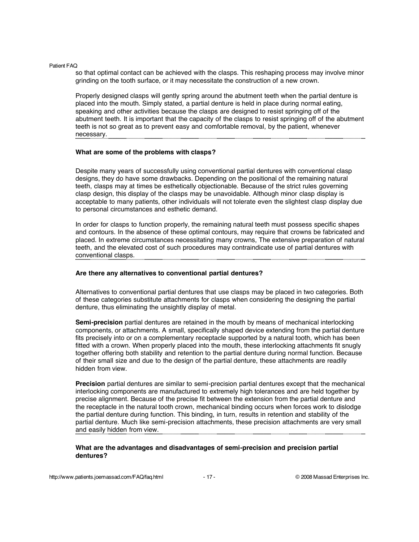so that optimal contact can be achieved with the clasps. This reshaping process may involve minor grinding on the tooth surface, or it may necessitate the construction of a new crown.

Properly designed clasps will gently spring around the abutment teeth when the partial denture is placed into the mouth. Simply stated, a partial denture is held in place during normal eating, speaking and other activities because the clasps are designed to resist springing off of the abutment teeth. It is important that the capacity of the clasps to resist springing off of the abutment teeth is not so great as to prevent easy and comfortable removal, by the patient, whenever necessary.

#### **What are some of the problems with clasps?**

Despite many years of successfully using conventional partial dentures with conventional clasp designs, they do have some drawbacks. Depending on the positional of the remaining natural teeth, clasps may at times be esthetically objectionable. Because of the strict rules governing clasp design, this display of the clasps may be unavoidable. Although minor clasp display is acceptable to many patients, other individuals will not tolerate even the slightest clasp display due to personal circumstances and esthetic demand.

In order for clasps to function properly, the remaining natural teeth must possess specific shapes and contours. In the absence of these optimal contours, may require that crowns be fabricated and placed. In extreme circumstances necessitating many crowns, The extensive preparation of natural teeth, and the elevated cost of such procedures may contraindicate use of partial dentures with conventional clasps.

#### **Are there any alternatives to conventional partial dentures?**

Alternatives to conventional partial dentures that use clasps may be placed in two categories. Both of these categories substitute attachments for clasps when considering the designing the partial denture, thus eliminating the unsightly display of metal.

**Semi-precision** partial dentures are retained in the mouth by means of mechanical interlocking components, or attachments. A small, specifically shaped device extending from the partial denture fits precisely into or on a complementary receptacle supported by a natural tooth, which has been fitted with a crown. When properly placed into the mouth, these interlocking attachments fit snugly together offering both stability and retention to the partial denture during normal function. Because of their small size and due to the design of the partial denture, these attachments are readily hidden from view.

**Precision** partial dentures are similar to semi-precision partial dentures except that the mechanical interlocking components are manufactured to extremely high tolerances and are held together by precise alignment. Because of the precise fit between the extension from the partial denture and the receptacle in the natural tooth crown, mechanical binding occurs when forces work to dislodge the partial denture during function. This binding, in turn, results in retention and stability of the partial denture. Much like semi-precision attachments, these precision attachments are very small and easily hidden from view.

# **What are the advantages and disadvantages of semi-precision and precision partial dentures?**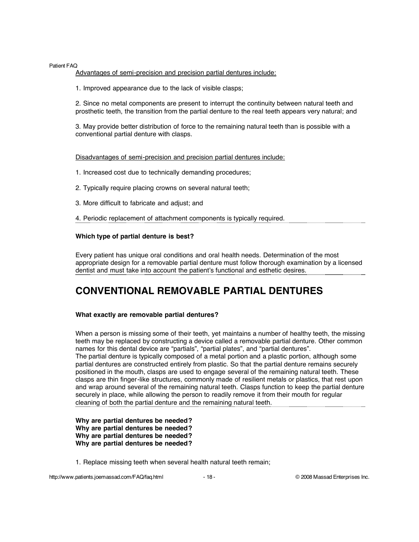Advantages of semi-precision and precision partial dentures include:

1. Improved appearance due to the lack of visible clasps;

2. Since no metal components are present to interrupt the continuity between natural teeth and prosthetic teeth, the transition from the partial denture to the real teeth appears very natural; and

3. May provide better distribution of force to the remaining natural teeth than is possible with a conventional partial denture with clasps.

Disadvantages of semi-precision and precision partial dentures include:

- 1. Increased cost due to technically demanding procedures;
- 2. Typically require placing crowns on several natural teeth;
- 3. More difficult to fabricate and adjust; and
- 4. Periodic replacement of attachment components is typically required.

# **Which type of partial denture is best?**

Every patient has unique oral conditions and oral health needs. Determination of the most appropriate design for a removable partial denture must follow thorough examination by a licensed dentist and must take into account the patient's functional and esthetic desires.

# **CONVENTIONAL REMOVABLE PARTIAL DENTURES**

# **What exactly are removable partial dentures?**

When a person is missing some of their teeth, yet maintains a number of healthy teeth, the missing teeth may be replaced by constructing a device called a removable partial denture. Other common names for this dental device are "partials", "partial plates", and "partial dentures". The partial denture is typically composed of a metal portion and a plastic portion, although some partial dentures are constructed entirely from plastic. So that the partial denture remains securely positioned in the mouth, clasps are used to engage several of the remaining natural teeth. These clasps are thin finger-like structures, commonly made of resilient metals or plastics, that rest upon and wrap around several of the remaining natural teeth. Clasps function to keep the partial denture securely in place, while allowing the person to readily remove it from their mouth for regular cleaning of both the partial denture and the remaining natural teeth.

**Why are partial dentures be needed? Why are partial dentures be needed? Why are partial dentures be needed? Why are partial dentures be needed?**

1. Replace missing teeth when several health natural teeth remain;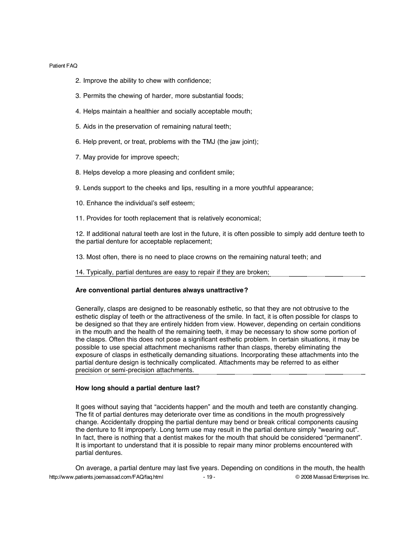- 2. Improve the ability to chew with confidence;
- 3. Permits the chewing of harder, more substantial foods;
- 4. Helps maintain a healthier and socially acceptable mouth;
- 5. Aids in the preservation of remaining natural teeth;
- 6. Help prevent, or treat, problems with the TMJ (the jaw joint);
- 7. May provide for improve speech;
- 8. Helps develop a more pleasing and confident smile;
- 9. Lends support to the cheeks and lips, resulting in a more youthful appearance;
- 10. Enhance the individual's self esteem;
- 11. Provides for tooth replacement that is relatively economical;

12. If additional natural teeth are lost in the future, it is often possible to simply add denture teeth to the partial denture for acceptable replacement;

- 13. Most often, there is no need to place crowns on the remaining natural teeth; and
- 14. Typically, partial dentures are easy to repair if they are broken;

# **Are conventional partial dentures always unattractive?**

Generally, clasps are designed to be reasonably esthetic, so that they are not obtrusive to the esthetic display of teeth or the attractiveness of the smile. In fact, it is often possible for clasps to be designed so that they are entirely hidden from view. However, depending on certain conditions in the mouth and the health of the remaining teeth, it may be necessary to show some portion of the clasps. Often this does not pose a significant esthetic problem. In certain situations, it may be possible to use special attachment mechanisms rather than clasps, thereby eliminating the exposure of clasps in esthetically demanding situations. Incorporating these attachments into the partial denture design is technically complicated. Attachments may be referred to as either precision or semi-precision attachments.

#### **How long should a partial denture last?**

It goes without saying that "accidents happen" and the mouth and teeth are constantly changing. The fit of partial dentures may deteriorate over time as conditions in the mouth progressively change. Accidentally dropping the partial denture may bend or break critical components causing the denture to fit improperly. Long term use may result in the partial denture simply "wearing out". In fact, there is nothing that a dentist makes for the mouth that should be considered "permanent". It is important to understand that it is possible to repair many minor problems encountered with partial dentures.

http://www.patients.joemassad.com/FAQ/faq.html - 19 - 19 - © 2008 Massad Enterprises Inc. On average, a partial denture may last five years. Depending on conditions in the mouth, the health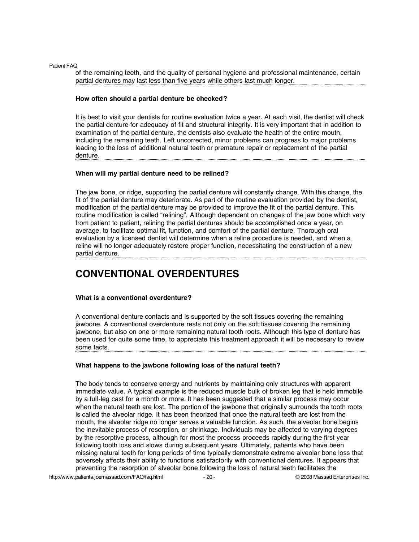of the remaining teeth, and the quality of personal hygiene and professional maintenance, certain partial dentures may last less than five years while others last much longer.

#### **How often should a partial denture be checked?**

It is best to visit your dentists for routine evaluation twice a year. At each visit, the dentist will check the partial denture for adequacy of fit and structural integrity. It is very important that in addition to examination of the partial denture, the dentists also evaluate the health of the entire mouth, including the remaining teeth. Left uncorrected, minor problems can progress to major problems leading to the loss of additional natural teeth or premature repair or replacement of the partial denture.

#### **When will my partial denture need to be relined?**

The jaw bone, or ridge, supporting the partial denture will constantly change. With this change, the fit of the partial denture may deteriorate. As part of the routine evaluation provided by the dentist, modification of the partial denture may be provided to improve the fit of the partial denture. This routine modification is called "relining". Although dependent on changes of the jaw bone which very from patient to patient, relining the partial dentures should be accomplished once a year, on average, to facilitate optimal fit, function, and comfort of the partial denture. Thorough oral evaluation by a licensed dentist will determine when a reline procedure is needed, and when a reline will no longer adequately restore proper function, necessitating the construction of a new partial denture.

# **CONVENTIONAL OVERDENTURES**

#### **What is a conventional overdenture?**

A conventional denture contacts and is supported by the soft tissues covering the remaining jawbone. A conventional overdenture rests not only on the soft tissues covering the remaining jawbone, but also on one or more remaining natural tooth roots. Although this type of denture has been used for quite some time, to appreciate this treatment approach it will be necessary to review some facts.

# **What happens to the jawbone following loss of the natural teeth?**

The body tends to conserve energy and nutrients by maintaining only structures with apparent immediate value. A typical example is the reduced muscle bulk of broken leg that is held immobile by a full-leg cast for a month or more. It has been suggested that a similar process may occur when the natural teeth are lost. The portion of the jawbone that originally surrounds the tooth roots is called the alveolar ridge. It has been theorized that once the natural teeth are lost from the mouth, the alveolar ridge no longer serves a valuable function. As such, the alveolar bone begins the inevitable process of resorption, or shrinkage. Individuals may be affected to varying degrees by the resorptive process, although for most the process proceeds rapidly during the first year following tooth loss and slows during subsequent years. Ultimately, patients who have been missing natural teeth for long periods of time typically demonstrate extreme alveolar bone loss that adversely affects their ability to functions satisfactorily with conventional dentures. It appears that preventing the resorption of alveolar bone following the loss of natural teeth facilitates the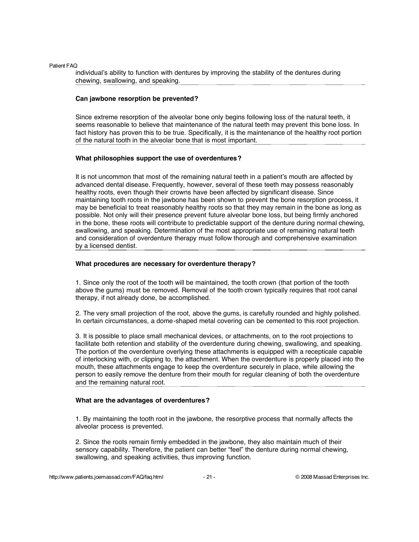individual's ability to function with dentures by improving the stability of the dentures during chewing, swallowing, and speaking.

### **Can jawbone resorption be prevented?**

Since extreme resorption of the alveolar bone only begins following loss of the natural teeth, it seems reasonable to believe that maintenance of the natural teeth may prevent this bone loss. In fact history has proven this to be true. Specifically, it is the maintenance of the healthy root portion of the natural tooth in the alveolar bone that is most important.

#### **What philosophies support the use of overdentures?**

It is not uncommon that most of the remaining natural teeth in a patient's mouth are affected by advanced dental disease. Frequently, however, several of these teeth may possess reasonably healthy roots, even though their crowns have been affected by significant disease. Since maintaining tooth roots in the jawbone has been shown to prevent the bone resorption process, it may be beneficial to treat reasonably healthy roots so that they may remain in the bone as long as possible. Not only will their presence prevent future alveolar bone loss, but being firmly anchored in the bone, these roots will contribute to predictable support of the denture during normal chewing, swallowing, and speaking. Determination of the most appropriate use of remaining natural teeth and consideration of overdenture therapy must follow thorough and comprehensive examination by a licensed dentist.

#### **What procedures are necessary for overdenture therapy?**

1. Since only the root of the tooth will be maintained, the tooth crown (that portion of the tooth above the gums) must be removed. Removal of the tooth crown typically requires that root canal therapy, if not already done, be accomplished.

2. The very small projection of the root, above the gums, is carefully rounded and highly polished. In certain circumstances, a dome-shaped metal covering can be cemented to this root projection.

3. It is possible to place small mechanical devices, or attachments, on to the root projections to facilitate both retention and stability of the overdenture during chewing, swallowing, and speaking. The portion of the overdenture overlying these attachments is equipped with a recepticale capable of interlocking with, or clipping to, the attachment. When the overdenture is properly placed into the mouth, these attachments engage to keep the overdenture securely in place, while allowing the person to easily remove the denture from their mouth for regular cleaning of both the overdenture and the remaining natural root.

# **What are the advantages of overdentures?**

1. By maintaining the tooth root in the jawbone, the resorptive process that normally affects the alveolar process is prevented.

2. Since the roots remain firmly embedded in the jawbone, they also maintain much of their sensory capability. Therefore, the patient can better "feel" the denture during normal chewing, swallowing, and speaking activities, thus improving function.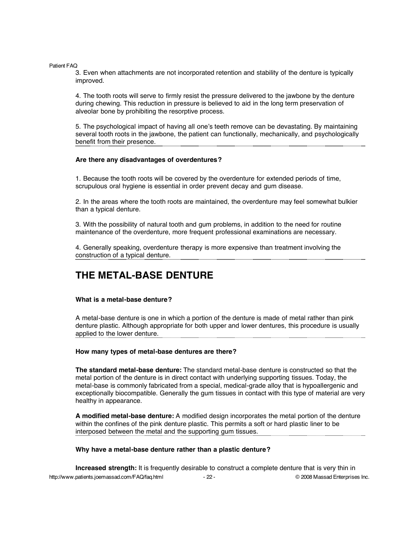3. Even when attachments are not incorporated retention and stability of the denture is typically improved.

4. The tooth roots will serve to firmly resist the pressure delivered to the jawbone by the denture during chewing. This reduction in pressure is believed to aid in the long term preservation of alveolar bone by prohibiting the resorptive process.

5. The psychological impact of having all one's teeth remove can be devastating. By maintaining several tooth roots in the jawbone, the patient can functionally, mechanically, and psychologically benefit from their presence.

## **Are there any disadvantages of overdentures?**

1. Because the tooth roots will be covered by the overdenture for extended periods of time, scrupulous oral hygiene is essential in order prevent decay and gum disease.

2. In the areas where the tooth roots are maintained, the overdenture may feel somewhat bulkier than a typical denture.

3. With the possibility of natural tooth and gum problems, in addition to the need for routine maintenance of the overdenture, more frequent professional examinations are necessary.

4. Generally speaking, overdenture therapy is more expensive than treatment involving the construction of a typical denture.

# **THE METAL-BASE DENTURE**

#### **What is a metal-base denture?**

A metal-base denture is one in which a portion of the denture is made of metal rather than pink denture plastic. Although appropriate for both upper and lower dentures, this procedure is usually applied to the lower denture.

#### **How many types of metal-base dentures are there?**

**The standard metal-base denture:** The standard metal-base denture is constructed so that the metal portion of the denture is in direct contact with underlying supporting tissues. Today, the metal-base is commonly fabricated from a special, medical-grade alloy that is hypoallergenic and exceptionally biocompatible. Generally the gum tissues in contact with this type of material are very healthy in appearance.

**A modified metal-base denture:** A modified design incorporates the metal portion of the denture within the confines of the pink denture plastic. This permits a soft or hard plastic liner to be interposed between the metal and the supporting gum tissues.

#### **Why have a metal-base denture rather than a plastic denture?**

http://www.patients.joemassad.com/FAQ/faq.html - 22 - 22 - © 2008 Massad Enterprises Inc. **Increased strength:** It is frequently desirable to construct a complete denture that is very thin in